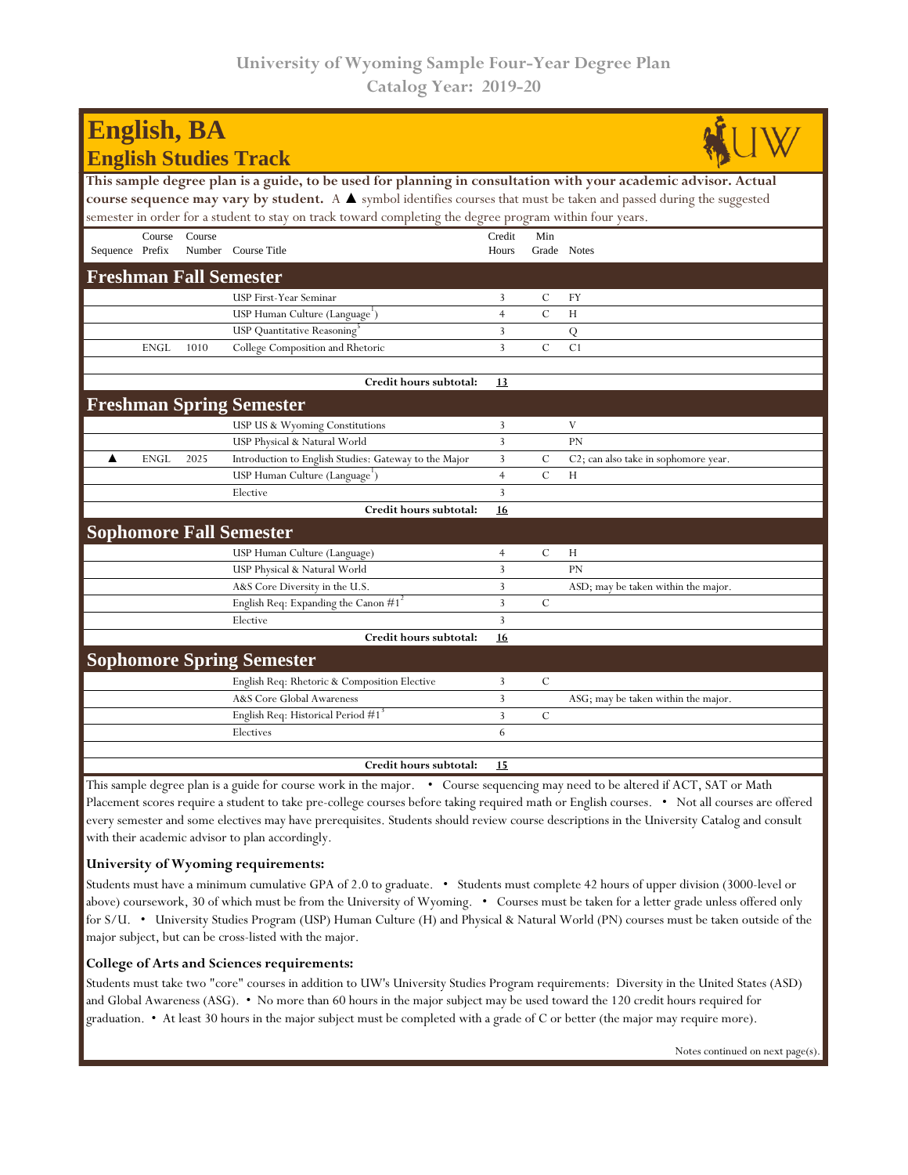| <b>English, BA</b>                                                                                                                                     |             |        |                                                       |                |               |                                      |  |  |  |  |  |
|--------------------------------------------------------------------------------------------------------------------------------------------------------|-------------|--------|-------------------------------------------------------|----------------|---------------|--------------------------------------|--|--|--|--|--|
|                                                                                                                                                        |             |        | <b>English Studies Track</b>                          |                |               |                                      |  |  |  |  |  |
| This sample degree plan is a guide, to be used for planning in consultation with your academic advisor. Actual                                         |             |        |                                                       |                |               |                                      |  |  |  |  |  |
| course sequence may vary by student. A $\blacktriangle$ symbol identifies courses that must be taken and passed during the suggested                   |             |        |                                                       |                |               |                                      |  |  |  |  |  |
| semester in order for a student to stay on track toward completing the degree program within four years.                                               |             |        |                                                       |                |               |                                      |  |  |  |  |  |
|                                                                                                                                                        | Course      | Course |                                                       | Credit         | Min           |                                      |  |  |  |  |  |
| Sequence Prefix                                                                                                                                        |             |        | Number Course Title                                   | Hours          | Grade Notes   |                                      |  |  |  |  |  |
| <b>Freshman Fall Semester</b>                                                                                                                          |             |        |                                                       |                |               |                                      |  |  |  |  |  |
|                                                                                                                                                        |             |        | USP First-Year Seminar                                | 3              | C             | FY                                   |  |  |  |  |  |
|                                                                                                                                                        |             |        | USP Human Culture (Language <sup>1</sup> )            | $\overline{4}$ | $\mathbf C$   | H                                    |  |  |  |  |  |
|                                                                                                                                                        |             |        | USP Quantitative Reasoning <sup>3</sup>               | 3              |               | $\overline{Q}$                       |  |  |  |  |  |
|                                                                                                                                                        | <b>ENGL</b> | 1010   | College Composition and Rhetoric                      | 3              | $\mathcal{C}$ | C1                                   |  |  |  |  |  |
|                                                                                                                                                        |             |        | Credit hours subtotal:                                | 13             |               |                                      |  |  |  |  |  |
|                                                                                                                                                        |             |        |                                                       |                |               |                                      |  |  |  |  |  |
|                                                                                                                                                        |             |        | <b>Freshman Spring Semester</b>                       |                |               |                                      |  |  |  |  |  |
|                                                                                                                                                        |             |        | USP US & Wyoming Constitutions                        | 3              |               | V                                    |  |  |  |  |  |
|                                                                                                                                                        |             |        | USP Physical & Natural World                          | 3              |               | <b>PN</b>                            |  |  |  |  |  |
| ▲                                                                                                                                                      | <b>ENGL</b> | 2025   | Introduction to English Studies: Gateway to the Major | 3              | C             | C2; can also take in sophomore year. |  |  |  |  |  |
|                                                                                                                                                        |             |        | USP Human Culture (Language')                         | $\overline{4}$ | $\mathcal{C}$ | H                                    |  |  |  |  |  |
|                                                                                                                                                        |             |        | Elective                                              | $\overline{3}$ |               |                                      |  |  |  |  |  |
|                                                                                                                                                        |             |        | Credit hours subtotal:                                | 16             |               |                                      |  |  |  |  |  |
|                                                                                                                                                        |             |        | <b>Sophomore Fall Semester</b>                        |                |               |                                      |  |  |  |  |  |
|                                                                                                                                                        |             |        | USP Human Culture (Language)                          | $\overline{4}$ | $\mathbf C$   | H                                    |  |  |  |  |  |
|                                                                                                                                                        |             |        | USP Physical & Natural World                          | 3              |               | PN                                   |  |  |  |  |  |
|                                                                                                                                                        |             |        | A&S Core Diversity in the U.S.                        | 3              |               | ASD; may be taken within the major.  |  |  |  |  |  |
|                                                                                                                                                        |             |        | English Req: Expanding the Canon $#1^2$               | $\overline{3}$ | $\mathcal{C}$ |                                      |  |  |  |  |  |
|                                                                                                                                                        |             |        | Elective                                              | $\overline{3}$ |               |                                      |  |  |  |  |  |
|                                                                                                                                                        |             |        | Credit hours subtotal:                                | 16             |               |                                      |  |  |  |  |  |
|                                                                                                                                                        |             |        | <b>Sophomore Spring Semester</b>                      |                |               |                                      |  |  |  |  |  |
|                                                                                                                                                        |             |        | English Req: Rhetoric & Composition Elective          | 3              | $\mathcal{C}$ |                                      |  |  |  |  |  |
|                                                                                                                                                        |             |        | A&S Core Global Awareness                             | $\overline{3}$ |               | ASG; may be taken within the major.  |  |  |  |  |  |
|                                                                                                                                                        |             |        | English Req: Historical Period #1 <sup>3</sup>        | $\overline{3}$ | C             |                                      |  |  |  |  |  |
|                                                                                                                                                        |             |        | Electives                                             | 6              |               |                                      |  |  |  |  |  |
|                                                                                                                                                        |             |        |                                                       |                |               |                                      |  |  |  |  |  |
|                                                                                                                                                        |             |        | Credit hours subtotal:                                | 15             |               |                                      |  |  |  |  |  |
| This sample degree plan is a quide for course work in the major $\bullet$ Course sequencing may need to be altered if $\Delta CT$ , $\Delta T$ or Math |             |        |                                                       |                |               |                                      |  |  |  |  |  |

This sample degree plan is a guide for course work in the major. • Course sequencing may need to be altered if ACT, SAT or Math Placement scores require a student to take pre-college courses before taking required math or English courses. • Not all courses are offered every semester and some electives may have prerequisites. Students should review course descriptions in the University Catalog and consult with their academic advisor to plan accordingly.

## **University of Wyoming requirements:**

Students must have a minimum cumulative GPA of 2.0 to graduate. • Students must complete 42 hours of upper division (3000-level or above) coursework, 30 of which must be from the University of Wyoming. • Courses must be taken for a letter grade unless offered only for S/U. • University Studies Program (USP) Human Culture (H) and Physical & Natural World (PN) courses must be taken outside of the major subject, but can be cross-listed with the major.

## **College of Arts and Sciences requirements:**

Students must take two "core" courses in addition to UW's University Studies Program requirements: Diversity in the United States (ASD) and Global Awareness (ASG). • No more than 60 hours in the major subject may be used toward the 120 credit hours required for graduation. • At least 30 hours in the major subject must be completed with a grade of C or better (the major may require more).